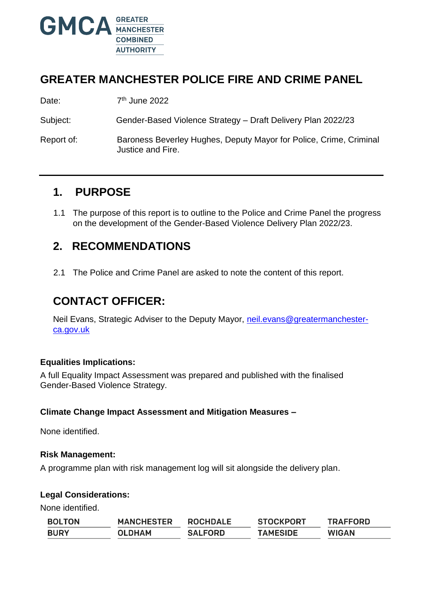

### **GREATER MANCHESTER POLICE FIRE AND CRIME PANEL**

Date: 7<sup>th</sup> June 2022

Subject: Gender-Based Violence Strategy – Draft Delivery Plan 2022/23

Report of: Baroness Beverley Hughes, Deputy Mayor for Police, Crime, Criminal Justice and Fire.

### **1. PURPOSE**

1.1 The purpose of this report is to outline to the Police and Crime Panel the progress on the development of the Gender-Based Violence Delivery Plan 2022/23.

## **2. RECOMMENDATIONS**

2.1 The Police and Crime Panel are asked to note the content of this report.

# **CONTACT OFFICER:**

Neil Evans, Strategic Adviser to the Deputy Mayor, [neil.evans@greatermanchester](mailto:neil.evans@greatermanchester-ca.gov.uk)[ca.gov.uk](mailto:neil.evans@greatermanchester-ca.gov.uk)

### **Equalities Implications:**

A full Equality Impact Assessment was prepared and published with the finalised Gender-Based Violence Strategy.

### **Climate Change Impact Assessment and Mitigation Measures –**

None identified.

#### **Risk Management:**

A programme plan with risk management log will sit alongside the delivery plan.

#### **Legal Considerations:**

None identified.

| <b>BOLTON</b> | <b>MANCHESTER</b> | <b>ROCHDALE</b> | <b>STOCKPORT</b> | <b>TRAFFORD</b> |
|---------------|-------------------|-----------------|------------------|-----------------|
| <b>BURY</b>   | OLDHAM            | <b>SALFORD</b>  | <b>TAMESIDE</b>  | <b>WIGAN</b>    |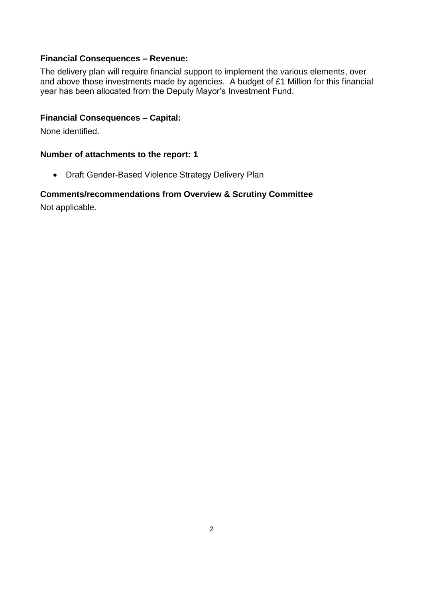#### **Financial Consequences – Revenue:**

The delivery plan will require financial support to implement the various elements, over and above those investments made by agencies. A budget of £1 Million for this financial year has been allocated from the Deputy Mayor's Investment Fund.

#### **Financial Consequences – Capital:**

None identified.

#### **Number of attachments to the report: 1**

• Draft Gender-Based Violence Strategy Delivery Plan

### **Comments/recommendations from Overview & Scrutiny Committee**

Not applicable.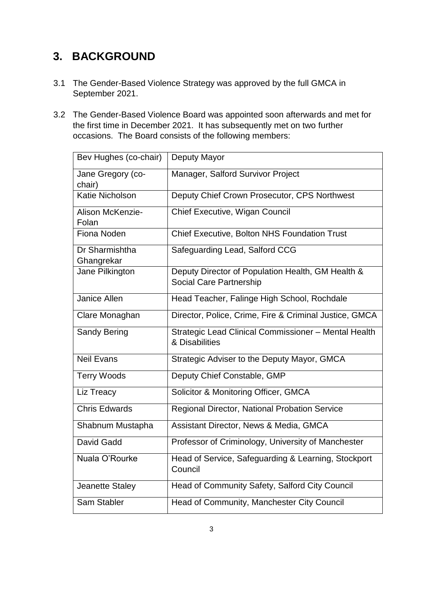# **3. BACKGROUND**

- 3.1 The Gender-Based Violence Strategy was approved by the full GMCA in September 2021.
- 3.2 The Gender-Based Violence Board was appointed soon afterwards and met for the first time in December 2021. It has subsequently met on two further occasions. The Board consists of the following members:

| Bev Hughes (co-chair)        | Deputy Mayor                                                                 |
|------------------------------|------------------------------------------------------------------------------|
| Jane Gregory (co-<br>chair)  | Manager, Salford Survivor Project                                            |
| Katie Nicholson              | Deputy Chief Crown Prosecutor, CPS Northwest                                 |
| Alison McKenzie-<br>Folan    | Chief Executive, Wigan Council                                               |
| Fiona Noden                  | <b>Chief Executive, Bolton NHS Foundation Trust</b>                          |
| Dr Sharmishtha<br>Ghangrekar | Safeguarding Lead, Salford CCG                                               |
| Jane Pilkington              | Deputy Director of Population Health, GM Health &<br>Social Care Partnership |
| Janice Allen                 | Head Teacher, Falinge High School, Rochdale                                  |
| Clare Monaghan               | Director, Police, Crime, Fire & Criminal Justice, GMCA                       |
| <b>Sandy Bering</b>          | Strategic Lead Clinical Commissioner - Mental Health<br>& Disabilities       |
| <b>Neil Evans</b>            | Strategic Adviser to the Deputy Mayor, GMCA                                  |
| <b>Terry Woods</b>           | Deputy Chief Constable, GMP                                                  |
| Liz Treacy                   | Solicitor & Monitoring Officer, GMCA                                         |
| <b>Chris Edwards</b>         | Regional Director, National Probation Service                                |
| Shabnum Mustapha             | Assistant Director, News & Media, GMCA                                       |
| David Gadd                   | Professor of Criminology, University of Manchester                           |
| Nuala O'Rourke               | Head of Service, Safeguarding & Learning, Stockport<br>Council               |
| Jeanette Staley              | Head of Community Safety, Salford City Council                               |
| Sam Stabler                  | Head of Community, Manchester City Council                                   |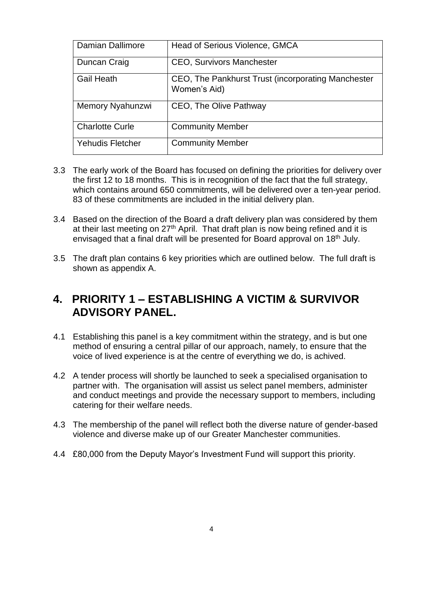| Damian Dallimore        | Head of Serious Violence, GMCA                                     |
|-------------------------|--------------------------------------------------------------------|
| Duncan Craig            | <b>CEO, Survivors Manchester</b>                                   |
| <b>Gail Heath</b>       | CEO, The Pankhurst Trust (incorporating Manchester<br>Women's Aid) |
| Memory Nyahunzwi        | CEO, The Olive Pathway                                             |
| <b>Charlotte Curle</b>  | <b>Community Member</b>                                            |
| <b>Yehudis Fletcher</b> | <b>Community Member</b>                                            |

- 3.3 The early work of the Board has focused on defining the priorities for delivery over the first 12 to 18 months. This is in recognition of the fact that the full strategy, which contains around 650 commitments, will be delivered over a ten-year period. 83 of these commitments are included in the initial delivery plan.
- 3.4 Based on the direction of the Board a draft delivery plan was considered by them at their last meeting on 27<sup>th</sup> April. That draft plan is now being refined and it is envisaged that a final draft will be presented for Board approval on 18<sup>th</sup> July.
- 3.5 The draft plan contains 6 key priorities which are outlined below. The full draft is shown as appendix A.

## **4. PRIORITY 1 – ESTABLISHING A VICTIM & SURVIVOR ADVISORY PANEL.**

- 4.1 Establishing this panel is a key commitment within the strategy, and is but one method of ensuring a central pillar of our approach, namely, to ensure that the voice of lived experience is at the centre of everything we do, is achived.
- 4.2 A tender process will shortly be launched to seek a specialised organisation to partner with. The organisation will assist us select panel members, administer and conduct meetings and provide the necessary support to members, including catering for their welfare needs.
- 4.3 The membership of the panel will reflect both the diverse nature of gender-based violence and diverse make up of our Greater Manchester communities.
- 4.4 £80,000 from the Deputy Mayor's Investment Fund will support this priority.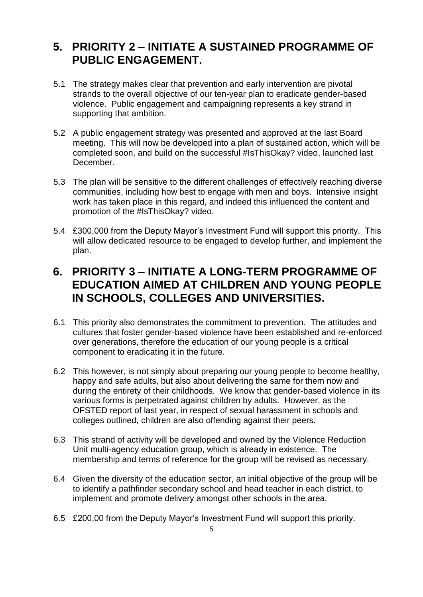## **5. PRIORITY 2 – INITIATE A SUSTAINED PROGRAMME OF PUBLIC ENGAGEMENT.**

- 5.1 The strategy makes clear that prevention and early intervention are pivotal strands to the overall objective of our ten-year plan to eradicate gender-based violence. Public engagement and campaigning represents a key strand in supporting that ambition.
- 5.2 A public engagement strategy was presented and approved at the last Board meeting. This will now be developed into a plan of sustained action, which will be completed soon, and build on the successful #IsThisOkay? video, launched last December.
- 5.3 The plan will be sensitive to the different challenges of effectively reaching diverse communities, including how best to engage with men and boys. Intensive insight work has taken place in this regard, and indeed this influenced the content and promotion of the #IsThisOkay? video.
- 5.4 £300,000 from the Deputy Mayor's Investment Fund will support this priority. This will allow dedicated resource to be engaged to develop further, and implement the plan.

## **6. PRIORITY 3 – INITIATE A LONG-TERM PROGRAMME OF EDUCATION AIMED AT CHILDREN AND YOUNG PEOPLE IN SCHOOLS, COLLEGES AND UNIVERSITIES.**

- 6.1 This priority also demonstrates the commitment to prevention. The attitudes and cultures that foster gender-based violence have been established and re-enforced over generations, therefore the education of our young people is a critical component to eradicating it in the future.
- 6.2 This however, is not simply about preparing our young people to become healthy, happy and safe adults, but also about delivering the same for them now and during the entirety of their childhoods. We know that gender-based violence in its various forms is perpetrated against children by adults. However, as the OFSTED report of last year, in respect of sexual harassment in schools and colleges outlined, children are also offending against their peers.
- 6.3 This strand of activity will be developed and owned by the Violence Reduction Unit multi-agency education group, which is already in existence. The membership and terms of reference for the group will be revised as necessary.
- 6.4 Given the diversity of the education sector, an initial objective of the group will be to identify a pathfinder secondary school and head teacher in each district, to implement and promote delivery amongst other schools in the area.
- 6.5 £200,00 from the Deputy Mayor's Investment Fund will support this priority.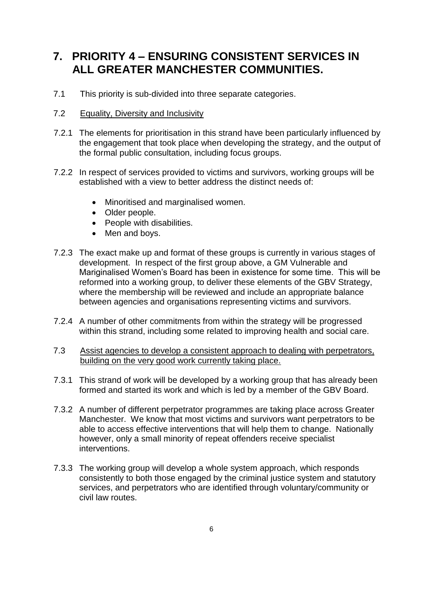## **7. PRIORITY 4 – ENSURING CONSISTENT SERVICES IN ALL GREATER MANCHESTER COMMUNITIES.**

- 7.1 This priority is sub-divided into three separate categories.
- 7.2 Equality, Diversity and Inclusivity
- 7.2.1 The elements for prioritisation in this strand have been particularly influenced by the engagement that took place when developing the strategy, and the output of the formal public consultation, including focus groups.
- 7.2.2 In respect of services provided to victims and survivors, working groups will be established with a view to better address the distinct needs of:
	- Minoritised and marginalised women.
	- Older people.
	- People with disabilities.
	- Men and boys.
- 7.2.3 The exact make up and format of these groups is currently in various stages of development. In respect of the first group above, a GM Vulnerable and Mariginalised Women's Board has been in existence for some time. This will be reformed into a working group, to deliver these elements of the GBV Strategy, where the membership will be reviewed and include an appropriate balance between agencies and organisations representing victims and survivors.
- 7.2.4 A number of other commitments from within the strategy will be progressed within this strand, including some related to improving health and social care.
- 7.3 Assist agencies to develop a consistent approach to dealing with perpetrators, building on the very good work currently taking place.
- 7.3.1 This strand of work will be developed by a working group that has already been formed and started its work and which is led by a member of the GBV Board.
- 7.3.2 A number of different perpetrator programmes are taking place across Greater Manchester. We know that most victims and survivors want perpetrators to be able to access effective interventions that will help them to change. Nationally however, only a small minority of repeat offenders receive specialist interventions.
- 7.3.3 The working group will develop a whole system approach, which responds consistently to both those engaged by the criminal justice system and statutory services, and perpetrators who are identified through voluntary/community or civil law routes.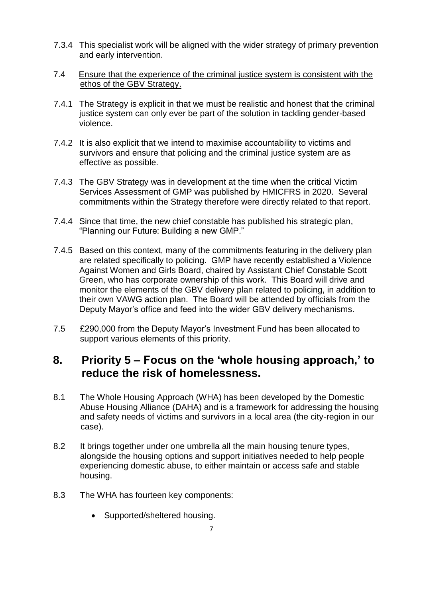- 7.3.4 This specialist work will be aligned with the wider strategy of primary prevention and early intervention.
- 7.4Ensure that the experience of the criminal justice system is consistent with the ethos of the GBV Strategy.
- 7.4.1 The Strategy is explicit in that we must be realistic and honest that the criminal justice system can only ever be part of the solution in tackling gender-based violence.
- 7.4.2 It is also explicit that we intend to maximise accountability to victims and survivors and ensure that policing and the criminal justice system are as effective as possible.
- 7.4.3 The GBV Strategy was in development at the time when the critical Victim Services Assessment of GMP was published by HMICFRS in 2020. Several commitments within the Strategy therefore were directly related to that report.
- 7.4.4 Since that time, the new chief constable has published his strategic plan, "Planning our Future: Building a new GMP."
- 7.4.5 Based on this context, many of the commitments featuring in the delivery plan are related specifically to policing. GMP have recently established a Violence Against Women and Girls Board, chaired by Assistant Chief Constable Scott Green, who has corporate ownership of this work. This Board will drive and monitor the elements of the GBV delivery plan related to policing, in addition to their own VAWG action plan. The Board will be attended by officials from the Deputy Mayor's office and feed into the wider GBV delivery mechanisms.
- 7.5 £290,000 from the Deputy Mayor's Investment Fund has been allocated to support various elements of this priority.

### **8. Priority 5 – Focus on the 'whole housing approach,' to reduce the risk of homelessness.**

- 8.1 The Whole Housing Approach (WHA) has been developed by the Domestic Abuse Housing Alliance (DAHA) and is a framework for addressing the housing and safety needs of victims and survivors in a local area (the city-region in our case).
- 8.2 It brings together under one umbrella all the main housing tenure types, alongside the housing options and support initiatives needed to help people experiencing domestic abuse, to either maintain or access safe and stable housing.
- 8.3 The WHA has fourteen key components:
	- Supported/sheltered housing.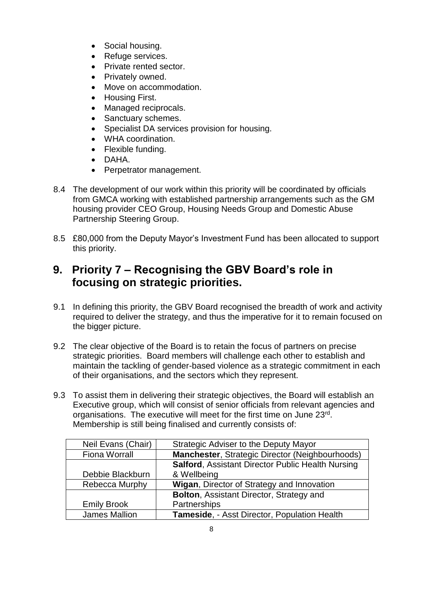- Social housing.
- Refuge services.
- Private rented sector.
- Privately owned.
- Move on accommodation.
- Housing First.
- Managed reciprocals.
- Sanctuary schemes.
- Specialist DA services provision for housing.
- WHA coordination.
- Flexible funding.
- DAHA.
- Perpetrator management.
- 8.4 The development of our work within this priority will be coordinated by officials from GMCA working with established partnership arrangements such as the GM housing provider CEO Group, Housing Needs Group and Domestic Abuse Partnership Steering Group.
- 8.5 £80,000 from the Deputy Mayor's Investment Fund has been allocated to support this priority.

## **9. Priority 7 – Recognising the GBV Board's role in focusing on strategic priorities.**

- 9.1 In defining this priority, the GBV Board recognised the breadth of work and activity required to deliver the strategy, and thus the imperative for it to remain focused on the bigger picture.
- 9.2 The clear objective of the Board is to retain the focus of partners on precise strategic priorities. Board members will challenge each other to establish and maintain the tackling of gender-based violence as a strategic commitment in each of their organisations, and the sectors which they represent.
- 9.3 To assist them in delivering their strategic objectives, the Board will establish an Executive group, which will consist of senior officials from relevant agencies and organisations. The executive will meet for the first time on June 23rd. Membership is still being finalised and currently consists of:

| Neil Evans (Chair)   | Strategic Adviser to the Deputy Mayor             |
|----------------------|---------------------------------------------------|
| <b>Fiona Worrall</b> | Manchester, Strategic Director (Neighbourhoods)   |
|                      | Salford, Assistant Director Public Health Nursing |
| Debbie Blackburn     | & Wellbeing                                       |
| Rebecca Murphy       | Wigan, Director of Strategy and Innovation        |
|                      | <b>Bolton, Assistant Director, Strategy and</b>   |
| <b>Emily Brook</b>   | Partnerships                                      |
| James Mallion        | Tameside, - Asst Director, Population Health      |